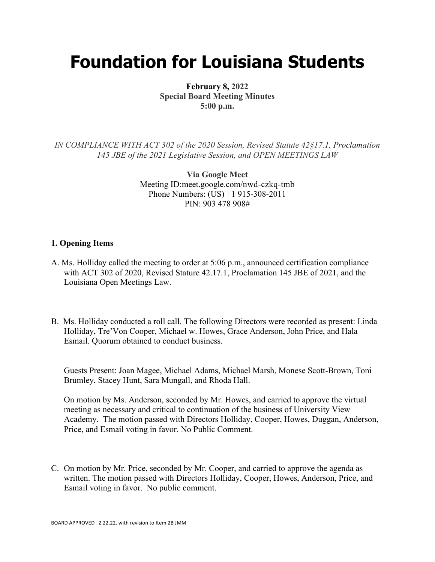## **Foundation for Louisiana Students**

**February 8, 2022 Special Board Meeting Minutes 5:00 p.m.**

*IN COMPLIANCE WITH ACT 302 of the 2020 Session, Revised Statute 42§17.1, Proclamation 145 JBE of the 2021 Legislative Session, and OPEN MEETINGS LAW*

> **Via Google Meet**  Meeting ID:meet.google.com/nwd-czkq-tmb Phone Numbers: (US) +1 915-308-2011 PIN: 903 478 908#

## **1. Opening Items**

- A. Ms. Holliday called the meeting to order at 5:06 p.m., announced certification compliance with ACT 302 of 2020, Revised Stature 42.17.1, Proclamation 145 JBE of 2021, and the Louisiana Open Meetings Law.
- B. Ms. Holliday conducted a roll call. The following Directors were recorded as present: Linda Holliday, Tre'Von Cooper, Michael w. Howes, Grace Anderson, John Price, and Hala Esmail. Quorum obtained to conduct business.

Guests Present: Joan Magee, Michael Adams, Michael Marsh, Monese Scott-Brown, Toni Brumley, Stacey Hunt, Sara Mungall, and Rhoda Hall.

On motion by Ms. Anderson, seconded by Mr. Howes, and carried to approve the virtual meeting as necessary and critical to continuation of the business of University View Academy. The motion passed with Directors Holliday, Cooper, Howes, Duggan, Anderson, Price, and Esmail voting in favor. No Public Comment.

C. On motion by Mr. Price, seconded by Mr. Cooper, and carried to approve the agenda as written. The motion passed with Directors Holliday, Cooper, Howes, Anderson, Price, and Esmail voting in favor. No public comment.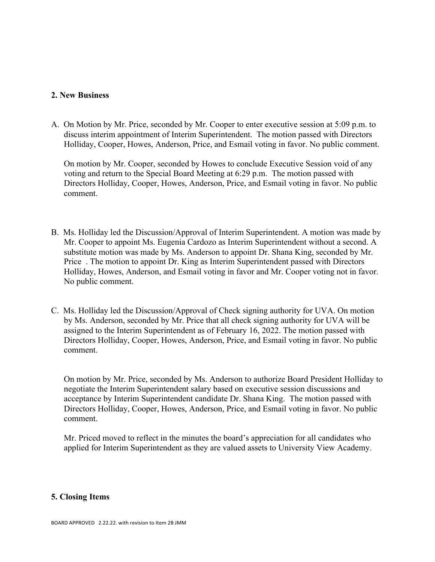## **2. New Business**

A. On Motion by Mr. Price, seconded by Mr. Cooper to enter executive session at 5:09 p.m. to discuss interim appointment of Interim Superintendent. The motion passed with Directors Holliday, Cooper, Howes, Anderson, Price, and Esmail voting in favor. No public comment.

On motion by Mr. Cooper, seconded by Howes to conclude Executive Session void of any voting and return to the Special Board Meeting at 6:29 p.m. The motion passed with Directors Holliday, Cooper, Howes, Anderson, Price, and Esmail voting in favor. No public comment.

- B. Ms. Holliday led the Discussion/Approval of Interim Superintendent. A motion was made by Mr. Cooper to appoint Ms. Eugenia Cardozo as Interim Superintendent without a second. A substitute motion was made by Ms. Anderson to appoint Dr. Shana King, seconded by Mr. Price . The motion to appoint Dr. King as Interim Superintendent passed with Directors Holliday, Howes, Anderson, and Esmail voting in favor and Mr. Cooper voting not in favor. No public comment.
- C. Ms. Holliday led the Discussion/Approval of Check signing authority for UVA. On motion by Ms. Anderson, seconded by Mr. Price that all check signing authority for UVA will be assigned to the Interim Superintendent as of February 16, 2022. The motion passed with Directors Holliday, Cooper, Howes, Anderson, Price, and Esmail voting in favor. No public comment.

On motion by Mr. Price, seconded by Ms. Anderson to authorize Board President Holliday to negotiate the Interim Superintendent salary based on executive session discussions and acceptance by Interim Superintendent candidate Dr. Shana King. The motion passed with Directors Holliday, Cooper, Howes, Anderson, Price, and Esmail voting in favor. No public comment.

Mr. Priced moved to reflect in the minutes the board's appreciation for all candidates who applied for Interim Superintendent as they are valued assets to University View Academy.

## **5. Closing Items**